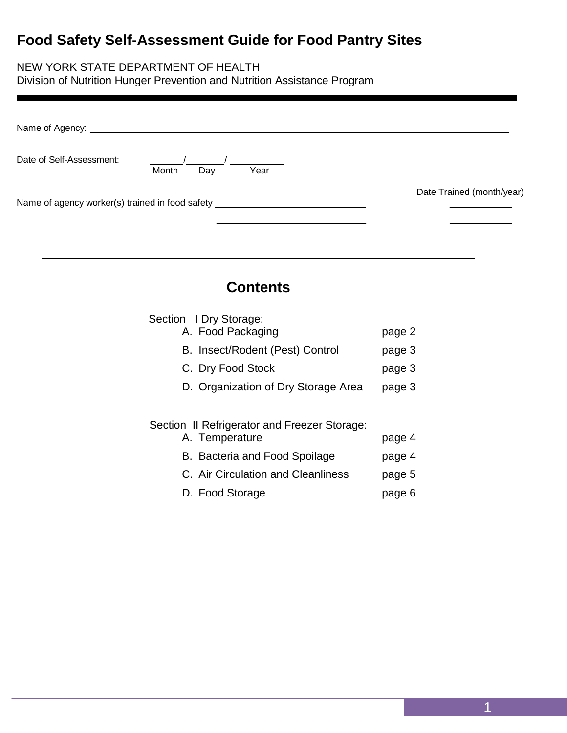# **Food Safety Self-Assessment Guide for Food Pantry Sites**

### NEW YORK STATE DEPARTMENT OF HEALTH

Division of Nutrition Hunger Prevention and Nutrition Assistance Program

| Date of Self-Assessment: | $\frac{1}{\sqrt{2}}$ Month Day<br>$\overline{Year}$                              |                           |
|--------------------------|----------------------------------------------------------------------------------|---------------------------|
|                          | Name of agency worker(s) trained in food safety ________________________________ | Date Trained (month/year) |
|                          | <b>Contents</b>                                                                  |                           |
|                          | Section I Dry Storage:<br>A. Food Packaging                                      |                           |
|                          | B. Insect/Rodent (Pest) Control                                                  | page 2<br>page 3          |
|                          | C. Dry Food Stock                                                                | page 3                    |
|                          | D. Organization of Dry Storage Area                                              | page 3                    |
|                          | Section II Refrigerator and Freezer Storage:<br>A. Temperature                   | page 4                    |
|                          | B. Bacteria and Food Spoilage                                                    | page 4                    |
|                          | C. Air Circulation and Cleanliness                                               | page 5                    |
|                          | D. Food Storage                                                                  | page 6                    |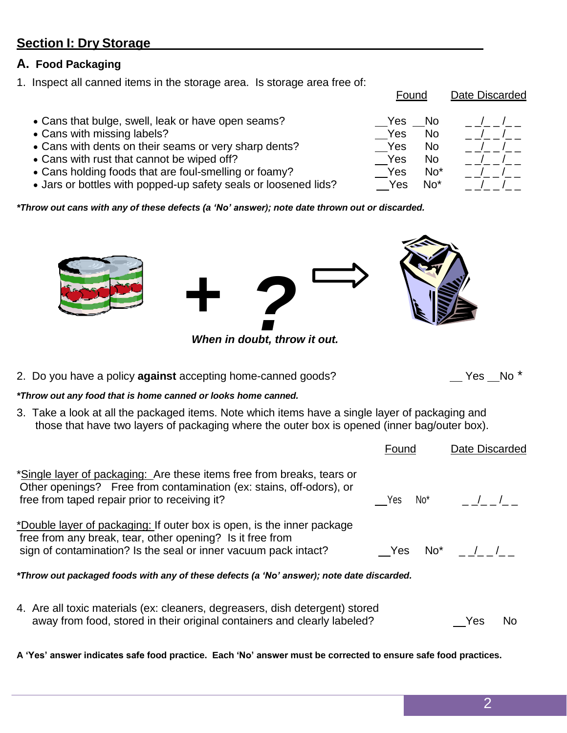$\_$  Yes  $\_$  No  $^{\star}$ 

Found Date Discarded

**A 'Yes' answer indicates safe food practice. Each 'No' answer must be corrected to ensure safe food practices.**

### **Section I: Dry Storage**

### **A. Food Packaging**

1. Inspect all canned items in the storage area. Is storage area free of:

- Cans that bulge, swell, leak or have open seams?
- Cans with missing labels?
- Cans with dents on their seams or very sharp dents?
- Cans with rust that cannot be wiped off?
- Cans holding foods that are foul-smelling or foamy?
- Jars or bottles with popped-up safety seals or loosened lids?

*\*Throw out cans with any of these defects (a 'No' answer); note date thrown out or discarded.*

 *+ <i>When in doubt, throw it out.* 

2. Do you have a policy **against** accepting home-canned goods?

### *\*Throw out any food that is home canned or looks home canned.*

3. Take a look at all the packaged items. Note which items have a single layer of packaging and those that have two layers of packaging where the outer box is opened (inner bag/outer box).

| *Single layer of packaging: Are these items free from breaks, tears or<br>Other openings? Free from contamination (ex: stains, off-odors), or<br>free from taped repair prior to receiving it?         | No*<br>Yes | $\frac{1}{2}$ |
|--------------------------------------------------------------------------------------------------------------------------------------------------------------------------------------------------------|------------|---------------|
| *Double layer of packaging: If outer box is open, is the inner package<br>free from any break, tear, other opening? Is it free from<br>sign of contamination? Is the seal or inner vacuum pack intact? | Yes        | No* / /       |
| *Throw out packaged foods with any of these defects (a 'No' answer); note date discarded.                                                                                                              |            |               |
| 4. Are all toxic materials (ex: cleaners, degreasers, dish detergent) stored<br>away from food, stored in their original containers and clearly labeled?                                               |            | Yes<br>No     |

| Yes | No  |  |
|-----|-----|--|
| Yes | No  |  |
| Yes | No  |  |
| Yes | No  |  |
| Yes | No* |  |
| Yes | No* |  |

Found Date Discarded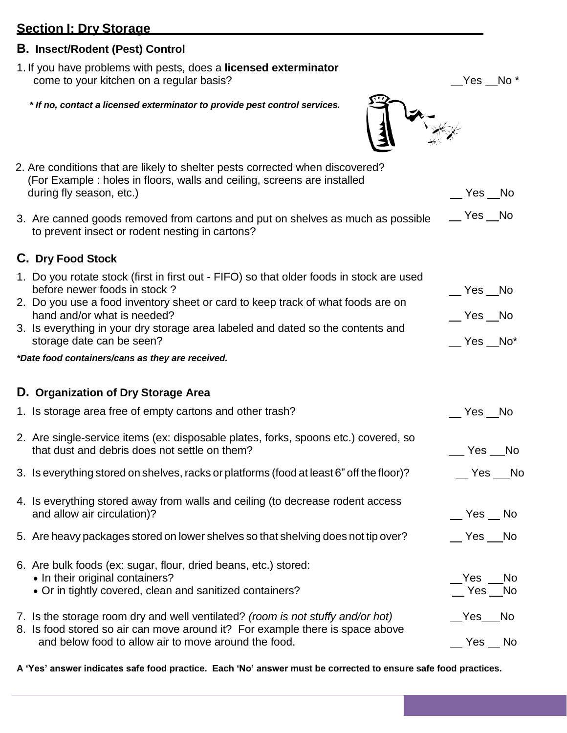### **Section I: Dry Storage**

#### **B. Insect/Rodent (Pest) Control**

- 1. If you have problems with pests, does a **licensed exterminator** come to your kitchen on a regular basis?
	- *\* If no, contact a licensed exterminator to provide pest control services.*



| 2. Are conditions that are likely to shelter pests corrected when discovered?<br>(For Example: holes in floors, walls and ceiling, screens are installed<br>during fly season, etc.)                                                                                                                                                                       | Yes No                                |
|------------------------------------------------------------------------------------------------------------------------------------------------------------------------------------------------------------------------------------------------------------------------------------------------------------------------------------------------------------|---------------------------------------|
| 3. Are canned goods removed from cartons and put on shelves as much as possible<br>to prevent insect or rodent nesting in cartons?                                                                                                                                                                                                                         | $\sqrt{2}$ Yes $\sqrt{2}$ No          |
| C. Dry Food Stock                                                                                                                                                                                                                                                                                                                                          |                                       |
| 1. Do you rotate stock (first in first out - FIFO) so that older foods in stock are used<br>before newer foods in stock?<br>2. Do you use a food inventory sheet or card to keep track of what foods are on<br>hand and/or what is needed?<br>3. Is everything in your dry storage area labeled and dated so the contents and<br>storage date can be seen? | __ Yes __No<br>__ Yes __No<br>Yes No* |
| *Date food containers/cans as they are received.                                                                                                                                                                                                                                                                                                           |                                       |
| D. Organization of Dry Storage Area                                                                                                                                                                                                                                                                                                                        |                                       |
| 1. Is storage area free of empty cartons and other trash?                                                                                                                                                                                                                                                                                                  | Yes __No                              |
| 2. Are single-service items (ex: disposable plates, forks, spoons etc.) covered, so<br>that dust and debris does not settle on them?                                                                                                                                                                                                                       | $\sqrt{}$ Yes $\sqrt{}$ No            |
| 3. Is everything stored on shelves, racks or platforms (food at least 6" off the floor)?                                                                                                                                                                                                                                                                   | $\sqrt{}$ Yes $\sqrt{}$ No            |
| 4. Is everything stored away from walls and ceiling (to decrease rodent access<br>and allow air circulation)?<br>5. Are heavy packages stored on lower shelves so that shelving does not tip over?                                                                                                                                                         | $\sqrt{}$ Yes $\sqrt{}$ No<br>Yes No  |
| 6. Are bulk foods (ex: sugar, flour, dried beans, etc.) stored:<br>• In their original containers?<br>• Or in tightly covered, clean and sanitized containers?                                                                                                                                                                                             | Yes<br>No<br>$\mathsf{\_}$ Yes<br>No  |
| 7. Is the storage room dry and well ventilated? (room is not stuffy and/or hot)<br>8. Is food stored so air can move around it? For example there is space above                                                                                                                                                                                           | Yes<br><b>No</b>                      |
| and below food to allow air to move around the food.                                                                                                                                                                                                                                                                                                       | Yes<br><b>No</b>                      |

**A 'Yes' answer indicates safe food practice. Each 'No' answer must be corrected to ensure safe food practices.**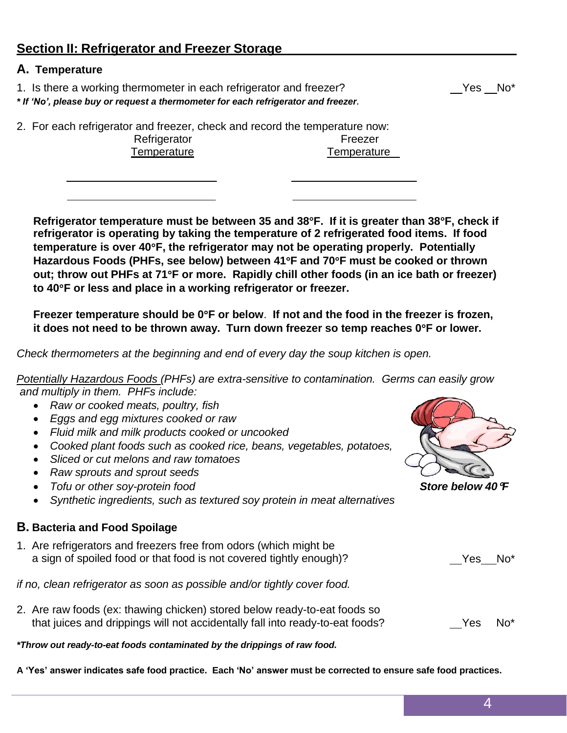### **Section II: Refrigerator and Freezer Storage**

#### **A. Temperature**

1. Is there a working thermometer in each refrigerator and freezer?

*\* If 'No', please buy or request a thermometer for each refrigerator and freezer.*

2. For each refrigerator and freezer, check and record the temperature now: Refrigerator **Freezer** 

Temperature Temperature

**Refrigerator temperature must be between 35 and 38F. If it is greater than 38F, check if refrigerator is operating by taking the temperature of 2 refrigerated food items. If food temperature is over 40F, the refrigerator may not be operating properly. Potentially Hazardous Foods (PHFs, see below) between 41F and 70F must be cooked or thrown out; throw out PHFs at 71F or more. Rapidly chill other foods (in an ice bath or freezer) to 40F or less and place in a working refrigerator or freezer.**

**Freezer temperature should be 0F or below**. **If not and the food in the freezer is frozen, it does not need to be thrown away. Turn down freezer so temp reaches 0F or lower.**

*Check thermometers at the beginning and end of every day the soup kitchen is open.*

*Potentially Hazardous Foods (PHFs) are extra-sensitive to contamination. Germs can easily grow and multiply in them. PHFs include:*

- *Raw or cooked meats, poultry, fish*
- *Eggs and egg mixtures cooked or raw*
- *Fluid milk and milk products cooked or uncooked*
- *Cooked plant foods such as cooked rice, beans, vegetables, potatoes,*
- *Sliced or cut melons and raw tomatoes*
- *Raw sprouts and sprout seeds*
- *Tofu or other soy-protein food Store below 40F*
- *Synthetic ingredients, such as textured soy protein in meat alternatives*

#### **B. Bacteria and Food Spoilage**

1. Are refrigerators and freezers free from odors (which might be a sign of spoiled food or that food is not covered tightly enough)? Yes No\*

*if no, clean refrigerator as soon as possible and/or tightly cover food.*

2. Are raw foods (ex: thawing chicken) stored below ready-to-eat foods so that juices and drippings will not accidentally fall into ready-to-eat foods? Yes No\*

*\*Throw out ready-to-eat foods contaminated by the drippings of raw food.*

**A 'Yes' answer indicates safe food practice. Each 'No' answer must be corrected to ensure safe food practices.**



4

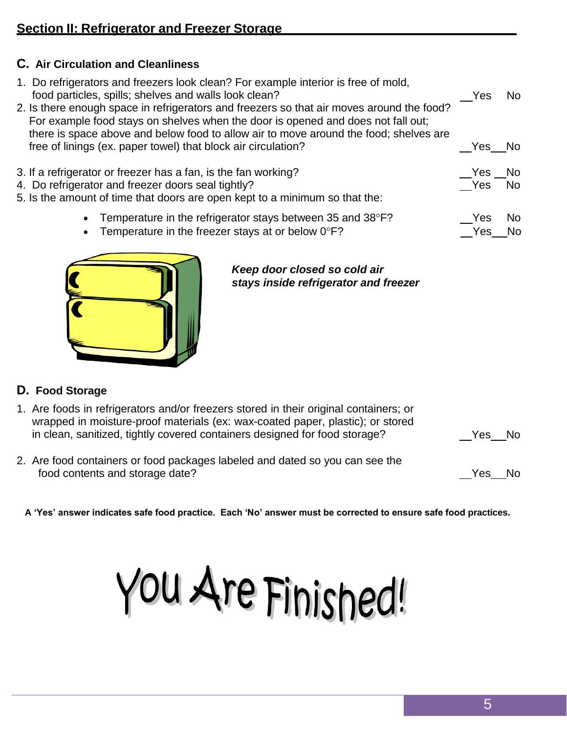### **C. Air Circulation and Cleanliness**

|                                                                             | 1. Do refrigerators and freezers look clean? For example interior is free of mold,<br>food particles, spills; shelves and walls look clean?<br>2. Is there enough space in refrigerators and freezers so that air moves around the food? | Yes      | No.       |  |
|-----------------------------------------------------------------------------|------------------------------------------------------------------------------------------------------------------------------------------------------------------------------------------------------------------------------------------|----------|-----------|--|
|                                                                             | For example food stays on shelves when the door is opened and does not fall out;<br>there is space above and below food to allow air to move around the food; shelves are                                                                |          |           |  |
|                                                                             | free of linings (ex. paper towel) that block air circulation?                                                                                                                                                                            | Yes No   |           |  |
|                                                                             |                                                                                                                                                                                                                                          |          |           |  |
| 3. If a refrigerator or freezer has a fan, is the fan working?              |                                                                                                                                                                                                                                          | $Yes$ No |           |  |
| 4. Do refrigerator and freezer doors seal tightly?                          |                                                                                                                                                                                                                                          | Yes      | <b>No</b> |  |
| 5. Is the amount of time that doors are open kept to a minimum so that the: |                                                                                                                                                                                                                                          |          |           |  |
|                                                                             | Temperature in the refrigerator stays between 35 and 38°F?<br>$\bullet$                                                                                                                                                                  | Yes      | No.       |  |
|                                                                             | Temperature in the freezer stays at or below $0^{\circ}F$ ?                                                                                                                                                                              | Yes.     |           |  |
|                                                                             | $\bullet$                                                                                                                                                                                                                                |          |           |  |
|                                                                             |                                                                                                                                                                                                                                          |          |           |  |



#### *Keep door closed so cold air stays inside refrigerator and freezer*

### **D. Food Storage**

- 1. Are foods in refrigerators and/or freezers stored in their original containers; or wrapped in moisture-proof materials (ex: wax-coated paper, plastic); or stored in clean, sanitized, tightly covered containers designed for food storage?
- 2. Are food containers or food packages labeled and dated so you can see the food contents and storage date? The storage of the storage of the storage of the storage of the storage of the storage of the storage of the storage of the storage of the storage of the storage of the storage of the storag

Yes No

**A 'Yes' answer indicates safe food practice. Each 'No' answer must be corrected to ensure safe food practices.**

You Are Finished!